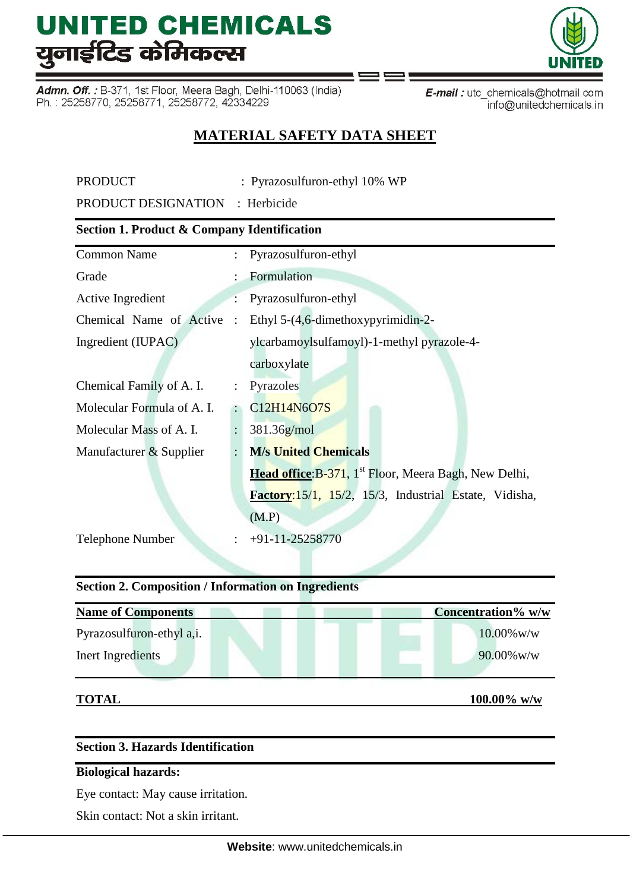Admn. Off.: B-371, 1st Floor, Meera Bagh, Delhi-110063 (India) Ph.: 25258770, 25258771, 25258772, 42334229

E-mail: utc\_chemicals@hotmail.com info@unitedchemicals.in

# **MATERIAL SAFETY DATA SHEET**

PRODUCT : Pyrazosulfuron-ethyl 10% WP

PRODUCT DESIGNATION : Herbicide

# **Section 1. Product & Company Identification**

| <b>Common Name</b>         |                      | Pyrazosulfuron-ethyl                                              |
|----------------------------|----------------------|-------------------------------------------------------------------|
| Grade                      |                      | Formulation                                                       |
| Active Ingredient          |                      | Pyrazosulfuron-ethyl                                              |
| Chemical Name of Active    | $\ddot{\cdot}$       | Ethyl 5-(4,6-dimethoxypyrimidin-2-                                |
| Ingredient (IUPAC)         |                      | ylcarbamoylsulfamoyl)-1-methyl pyrazole-4-                        |
|                            |                      | carboxylate                                                       |
| Chemical Family of A. I.   | $\ddot{\phantom{a}}$ | Pyrazoles                                                         |
| Molecular Formula of A. I. |                      | C12H14N6O7S                                                       |
| Molecular Mass of A. I.    |                      | $381.36$ g/mol                                                    |
| Manufacturer & Supplier    | $\ddot{\cdot}$       | <b>M/s United Chemicals</b>                                       |
|                            |                      | Head office: B-371, 1 <sup>st</sup> Floor, Meera Bagh, New Delhi, |
|                            |                      | Factory:15/1, 15/2, 15/3, Industrial Estate, Vidisha,             |
|                            |                      | (M.P)                                                             |
| <b>Telephone Number</b>    |                      | $+91-11-25258770$                                                 |
|                            |                      |                                                                   |

# **Section 2. Composition / Information on Ingredients**

| <b>Name of Components</b> | Concentration% w/w |
|---------------------------|--------------------|
| Pyrazosulfuron-ethyl a,i. | $10.00\%$ w/w      |
| Inert Ingredients         | $90.00\%$ w/w      |

**TOTAL 100.00% w/w** 

# **Section 3. Hazards Identification**

# **Biological hazards:**

Eye contact: May cause irritation.

Skin contact: Not a skin irritant.

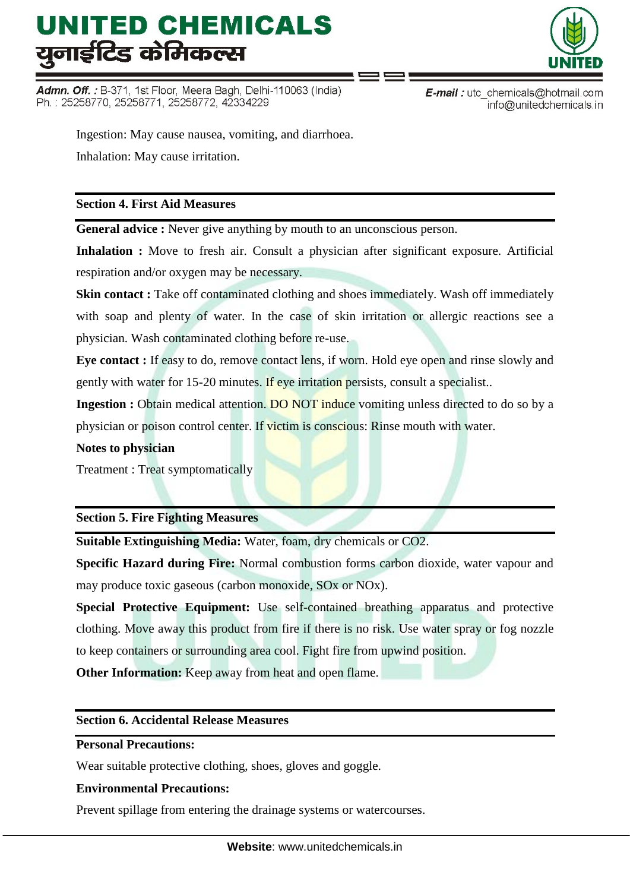Admn. Off.: B-371, 1st Floor, Meera Bagh, Delhi-110063 (India) Ph.: 25258770, 25258771, 25258772, 42334229



**E-mail**: utc chemicals@hotmail.com info@unitedchemicals.in

Ingestion: May cause nausea, vomiting, and diarrhoea. Inhalation: May cause irritation.

# **Section 4. First Aid Measures**

**General advice :** Never give anything by mouth to an unconscious person.

**Inhalation :** Move to fresh air. Consult a physician after significant exposure. Artificial respiration and/or oxygen may be necessary.

**Skin contact :** Take off contaminated clothing and shoes immediately. Wash off immediately with soap and plenty of water. In the case of skin irritation or allergic reactions see a physician. Wash contaminated clothing before re-use.

**Eye contact :** If easy to do, remove contact lens, if worn. Hold eye open and rinse slowly and gently with water for 15-20 minutes. If eye irritation persists, consult a specialist..

**Ingestion :** Obtain medical attention. DO NOT induce vomiting unless directed to do so by a physician or poison control center. If victim is conscious: Rinse mouth with water.

### **Notes to physician**

Treatment : Treat symptomatically

**Section 5. Fire Fighting Measures**

**Suitable Extinguishing Media:** Water, foam, dry chemicals or CO2.

**Specific Hazard during Fire:** Normal combustion forms carbon dioxide, water vapour and may produce toxic gaseous (carbon monoxide, SOx or NOx).

**Special Protective Equipment:** Use self-contained breathing apparatus and protective clothing. Move away this product from fire if there is no risk. Use water spray or fog nozzle to keep containers or surrounding area cool. Fight fire from upwind position.

**Other Information:** Keep away from heat and open flame.

### **Section 6. Accidental Release Measures**

# **Personal Precautions:**

Wear suitable protective clothing, shoes, gloves and goggle.

# **Environmental Precautions:**

Prevent spillage from entering the drainage systems or watercourses.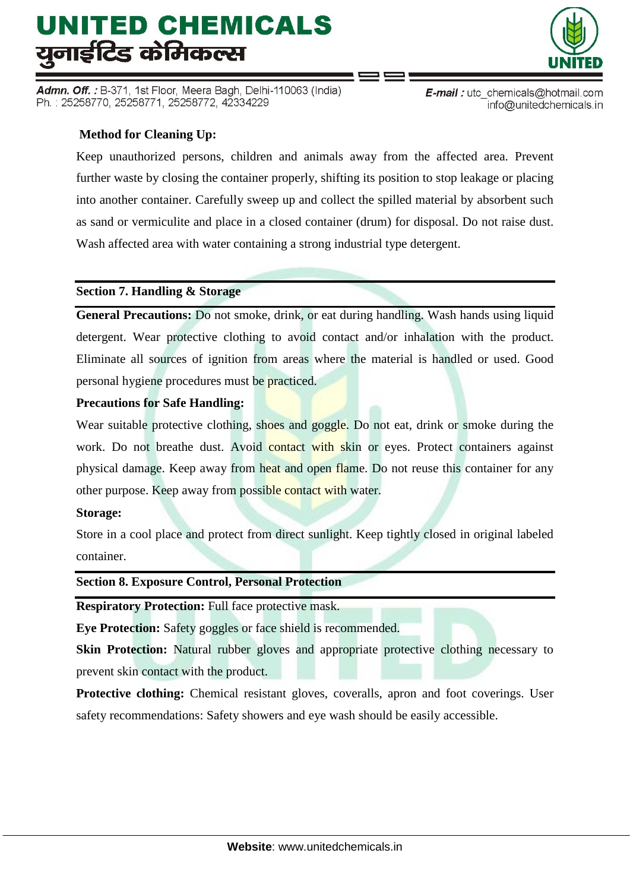Admn. Off. : B-371, 1st Floor, Meera Bagh, Delhi-110063 (India) Ph.: 25258770, 25258771, 25258772, 42334229

# **Method for Cleaning Up:**

Keep unauthorized persons, children and animals away from the affected area. Prevent further waste by closing the container properly, shifting its position to stop leakage or placing into another container. Carefully sweep up and collect the spilled material by absorbent such as sand or vermiculite and place in a closed container (drum) for disposal. Do not raise dust. Wash affected area with water containing a strong industrial type detergent.

### **Section 7. Handling & Storage**

**General Precautions:** Do not smoke, drink, or eat during handling. Wash hands using liquid detergent. Wear protective clothing to avoid contact and/or inhalation with the product. Eliminate all sources of ignition from areas where the material is handled or used. Good personal hygiene procedures must be practiced.

# **Precautions for Safe Handling:**

Wear suitable protective clothing, shoes and goggle. Do not eat, drink or smoke during the work. Do not breathe dust. Avoid contact with skin or eyes. Protect containers against physical damage. Keep away from heat and open flame. Do not reuse this container for any other purpose. Keep away from possible contact with water.

# **Storage:**

Store in a cool place and protect from direct sunlight. Keep tightly closed in original labeled container.

### **Section 8. Exposure Control, Personal Protection**

**Respiratory Protection:** Full face protective mask.

**Eye Protection:** Safety goggles or face shield is recommended.

**Skin Protection:** Natural rubber gloves and appropriate protective clothing necessary to prevent skin contact with the product.

**Protective clothing:** Chemical resistant gloves, coveralls, apron and foot coverings. User safety recommendations: Safety showers and eye wash should be easily accessible.



**E-mail**: utc chemicals@hotmail.com

info@unitedchemicals.in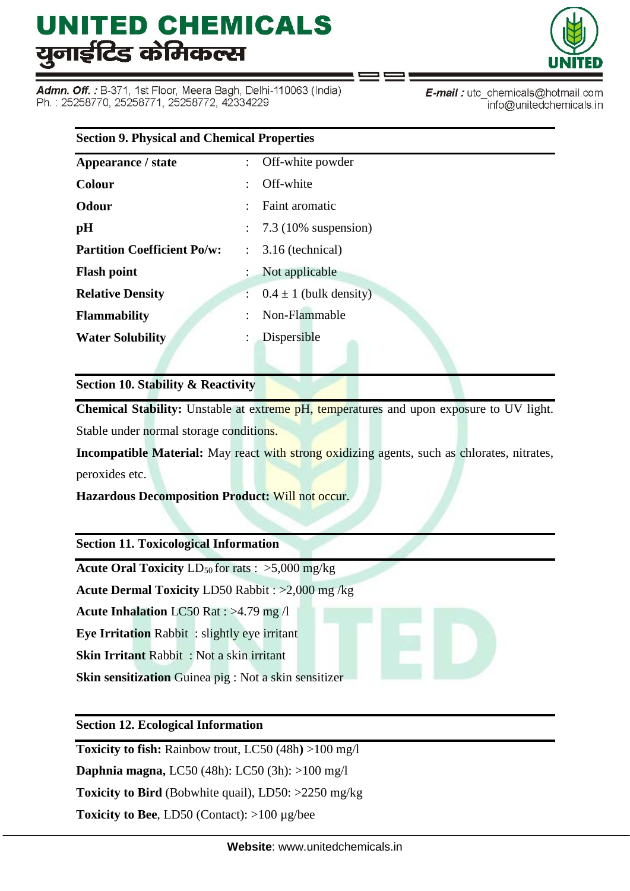Admn. Off. : B-371, 1st Floor, Meera Bagh, Delhi-110063 (India) Ph.: 25258770, 25258771, 25258772, 42334229



E-mail: utc chemicals@hotmail.com info@unitedchemicals.in

| <b>Section 9. Physical and Chemical Properties</b> |                                          |  |  |  |
|----------------------------------------------------|------------------------------------------|--|--|--|
| Appearance / state                                 | : Off-white powder                       |  |  |  |
| <b>Colour</b>                                      | Off-white                                |  |  |  |
| Odour                                              | Faint aromatic                           |  |  |  |
| pH                                                 | $\therefore$ 7.3 (10% suspension)        |  |  |  |
| <b>Partition Coefficient Po/w:</b>                 | 3.16 (technical)<br>$\ddot{\phantom{a}}$ |  |  |  |
| <b>Flash point</b>                                 | Not applicable                           |  |  |  |
| <b>Relative Density</b>                            | $0.4 \pm 1$ (bulk density)               |  |  |  |
| <b>Flammability</b>                                | Non-Flammable                            |  |  |  |
| <b>Water Solubility</b>                            | Dispersible                              |  |  |  |
|                                                    |                                          |  |  |  |

**Section 10. Stability & Reactivity**

**Chemical Stability:** Unstable at extreme pH, temperatures and upon exposure to UV light. Stable under normal storage conditions.

**Incompatible Material:** May react with strong oxidizing agents, such as chlorates, nitrates, peroxides etc.

**Hazardous Decomposition Product:** Will not occur.

**Section 11. Toxicological Information**

**Acute Oral Toxicity**  $LD_{50}$  for rats :  $>5,000$  mg/kg

**Acute Dermal Toxicity** LD50 Rabbit : >2,000 mg /kg

**Acute Inhalation** LC50 Rat : >4.79 mg /l

**Eye Irritation** Rabbit : slightly eye irritant

**Skin Irritant** Rabbit : Not a skin irritant

**Skin sensitization** Guinea pig : Not a skin sensitizer

**Section 12. Ecological Information**

**Toxicity to fish:** Rainbow trout, LC50 (48h**)** >100 mg/l

**Daphnia magna,** LC50 (48h): LC50 (3h): >100 mg/l

**Toxicity to Bird** (Bobwhite quail), LD50: >2250 mg/kg

**Toxicity to Bee**, LD50 (Contact): >100 µg/bee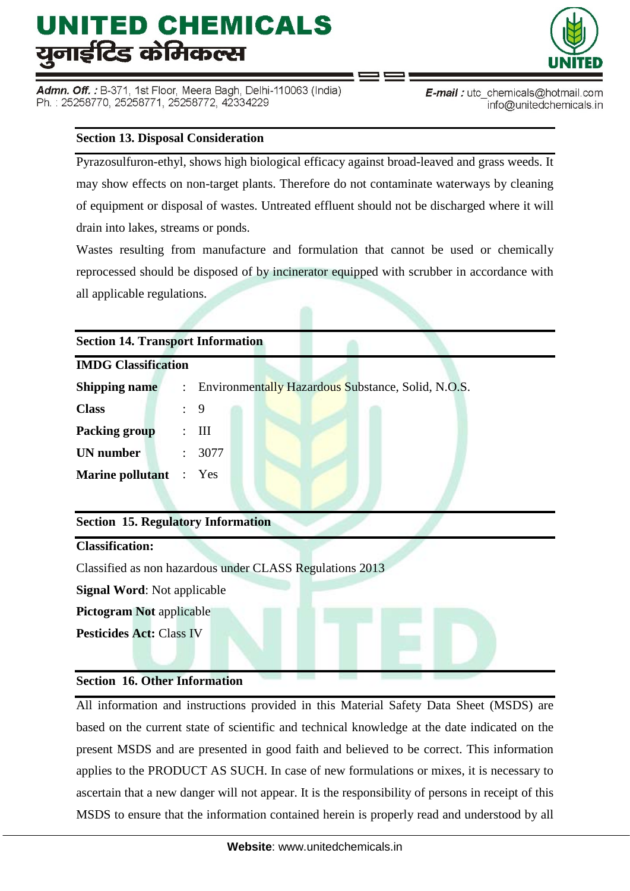Admn. Off. : B-371, 1st Floor, Meera Bagh, Delhi-110063 (India) Ph.: 25258770, 25258771, 25258772, 42334229



E-mail: utc\_chemicals@hotmail.com info@unitedchemicals.in

# **Section 13. Disposal Consideration**

Pyrazosulfuron-ethyl, shows high biological efficacy against broad-leaved and grass weeds. It may show effects on non-target plants. Therefore do not contaminate waterways by cleaning of equipment or disposal of wastes. Untreated effluent should not be discharged where it will drain into lakes, streams or ponds.

Wastes resulting from manufacture and formulation that cannot be used or chemically reprocessed should be disposed of by incinerator equipped with scrubber in accordance with all applicable regulations.

| <b>Section 14. Transport Information</b> |  |                                                      |  |  |  |
|------------------------------------------|--|------------------------------------------------------|--|--|--|
| <b>IMDG Classification</b>               |  |                                                      |  |  |  |
| <b>Shipping name</b>                     |  | : Environmentally Hazardous Substance, Solid, N.O.S. |  |  |  |
| <b>Class</b>                             |  | $\therefore$ 9                                       |  |  |  |
| <b>Packing group</b>                     |  | Ш                                                    |  |  |  |
| <b>UN</b> number                         |  | 3077                                                 |  |  |  |
| <b>Marine pollutant</b> : Yes            |  |                                                      |  |  |  |

# **Section 15. Regulatory Information**

# **Classification:**

Classified as non hazardous under CLASS Regulations 2013

**Signal Word**: Not applicable

**Pictogram Not** applicable

**Pesticides Act:** Class IV

### **Section 16. Other Information**

All information and instructions provided in this Material Safety Data Sheet (MSDS) are based on the current state of scientific and technical knowledge at the date indicated on the present MSDS and are presented in good faith and believed to be correct. This information applies to the PRODUCT AS SUCH. In case of new formulations or mixes, it is necessary to ascertain that a new danger will not appear. It is the responsibility of persons in receipt of this MSDS to ensure that the information contained herein is properly read and understood by all